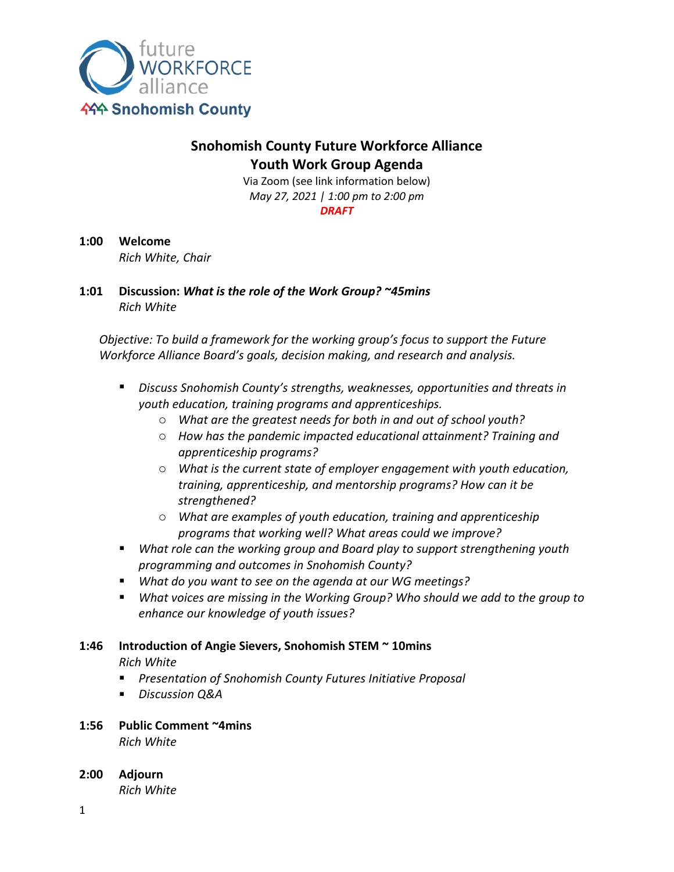

## **Snohomish County Future Workforce Alliance Youth Work Group Agenda**

Via Zoom (see link information below) *May 27, 2021 | 1:00 pm to 2:00 pm DRAFT*

**1:00 Welcome**

*Rich White, Chair*

**1:01 Discussion:** *What is the role of the Work Group? ~45mins Rich White*

*Objective: To build a framework for the working group's focus to support the Future Workforce Alliance Board's goals, decision making, and research and analysis.*

- *Discuss Snohomish County's strengths, weaknesses, opportunities and threats in youth education, training programs and apprenticeships.*
	- o *What are the greatest needs for both in and out of school youth?*
	- o *How has the pandemic impacted educational attainment? Training and apprenticeship programs?*
	- o *What is the current state of employer engagement with youth education, training, apprenticeship, and mentorship programs? How can it be strengthened?*
	- o *What are examples of youth education, training and apprenticeship programs that working well? What areas could we improve?*
- *What role can the working group and Board play to support strengthening youth programming and outcomes in Snohomish County?*
- *What do you want to see on the agenda at our WG meetings?*
- *What voices are missing in the Working Group? Who should we add to the group to enhance our knowledge of youth issues?*

# **1:46 Introduction of Angie Sievers, Snohomish STEM ~ 10mins**

*Rich White*

- *Presentation of Snohomish County Futures Initiative Proposal*
- *Discussion Q&A*

### **1:56 Public Comment ~4mins**

*Rich White*

**2:00 Adjourn** *Rich White*